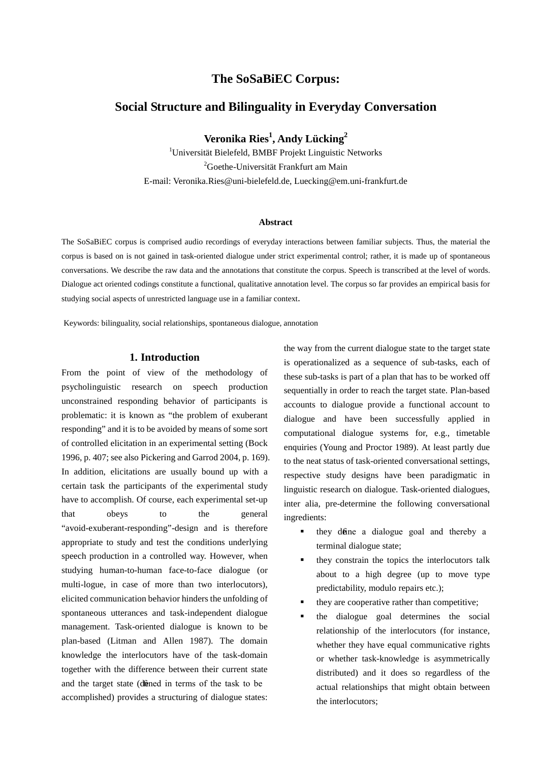# **The SoSaBiEC Corpus:**

## **Social Structure and Bilinguality in Everyday Conversation**

**Veronika Ries<sup>1</sup> , Andy Lücking2**

<sup>1</sup>Universität Bielefeld, BMBF Projekt Linguistic Networks <sup>2</sup>Goethe-Universität Frankfurt am Main E-mail: Veronika.Ries@uni-bielefeld.de, Luecking@em.uni-frankfurt.de

#### **Abstract**

The SoSaBiEC corpus is comprised audio recordings of everyday interactions between familiar subjects. Thus, the material the corpus is based on is not gained in task-oriented dialogue under strict experimental control; rather, it is made up of spontaneous conversations. We describe the raw data and the annotations that constitute the corpus. Speech is transcribed at the level of words. Dialogue act oriented codings constitute a functional, qualitative annotation level. The corpus so far provides an empirical basis for studying social aspects of unrestricted language use in a familiar context.

Keywords: bilinguality, social relationships, spontaneous dialogue, annotation

### **1. Introduction**

From the point of view of the methodology of psycholinguistic research on speech production unconstrained responding behavior of participants is problematic: it is known as "the problem of exuberant responding" and it is to be avoided by means of some sort of controlled elicitation in an experimental setting (Bock 1996, p. 407; see also Pickering and Garrod 2004, p. 169). In addition, elicitations are usually bound up with a certain task the participants of the experimental study have to accomplish. Of course, each experimental set-up that obeys to the general "avoid-exuberant-responding"-design and is therefore appropriate to study and test the conditions underlying speech production in a controlled way. However, when studying human-to-human face-to-face dialogue (or multi-logue, in case of more than two interlocutors), elicited communication behavior hinders the unfolding of spontaneous utterances and task-independent dialogue management. Task-oriented dialogue is known to be plan-based (Litman and Allen 1987). The domain knowledge the interlocutors have of the task-domain together with the difference between their current state and the target state (defined in terms of the task to be accomplished) provides a structuring of dialogue states:

the way from the current dialogue state to the target state is operationalized as a sequence of sub-tasks, each of these sub-tasks is part of a plan that has to be worked off sequentially in order to reach the target state. Plan-based accounts to dialogue provide a functional account to dialogue and have been successfully applied in computational dialogue systems for, e.g., timetable enquiries (Young and Proctor 1989). At least partly due to the neat status of task-oriented conversational settings, respective study designs have been paradigmatic in linguistic research on dialogue. Task-oriented dialogues, inter alia, pre-determine the following conversational ingredients:

- they define a dialogue goal and thereby a terminal dialogue state;
- they constrain the topics the interlocutors talk about to a high degree (up to move type predictability, modulo repairs etc.);
- they are cooperative rather than competitive;
- the dialogue goal determines the social relationship of the interlocutors (for instance, whether they have equal communicative rights or whether task-knowledge is asymmetrically distributed) and it does so regardless of the actual relationships that might obtain between the interlocutors;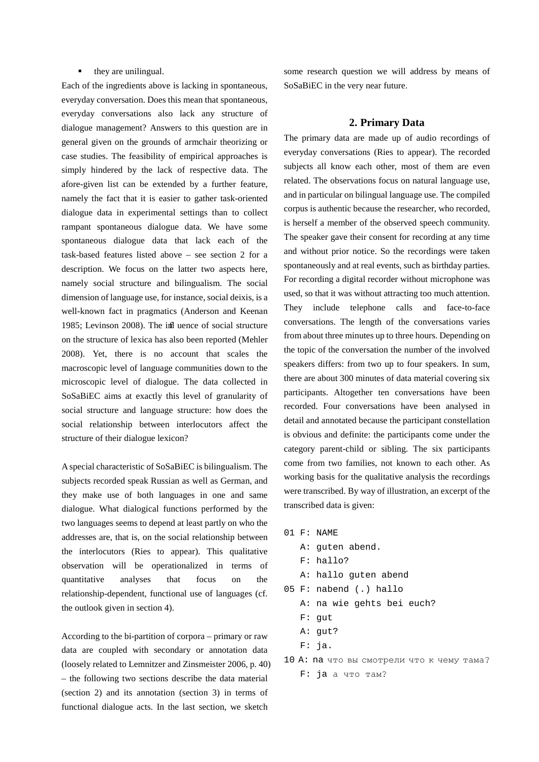#### $\blacksquare$  they are unilingual.

Each of the ingredients above is lacking in spontaneous, everyday conversation. Does this mean that spontaneous, everyday conversations also lack any structure of dialogue management? Answers to this question are in general given on the grounds of armchair theorizing or case studies. The feasibility of empirical approaches is simply hindered by the lack of respective data. The afore-given list can be extended by a further feature, namely the fact that it is easier to gather task-oriented dialogue data in experimental settings than to collect rampant spontaneous dialogue data. We have some spontaneous dialogue data that lack each of the task-based features listed above – see section 2 for a description. We focus on the latter two aspects here, namely social structure and bilingualism. The social dimension of language use, for instance, social deixis, is a well-known fact in pragmatics (Anderson and Keenan 1985; Levinson 2008). The infl uence of social structure on the structure of lexica has also been reported (Mehler 2008). Yet, there is no account that scales the macroscopic level of language communities down to the microscopic level of dialogue. The data collected in SoSaBiEC aims at exactly this level of granularity of social structure and language structure: how does the social relationship between interlocutors affect the structure of their dialogue lexicon?

A special characteristic of SoSaBiEC is bilingualism. The subjects recorded speak Russian as well as German, and they make use of both languages in one and same dialogue. What dialogical functions performed by the two languages seems to depend at least partly on who the addresses are, that is, on the social relationship between the interlocutors (Ries to appear). This qualitative observation will be operationalized in terms of quantitative analyses that focus on the relationship-dependent, functional use of languages (cf. the outlook given in section 4).

According to the bi-partition of corpora – primary or raw data are coupled with secondary or annotation data (loosely related to Lemnitzer and Zinsmeister 2006, p. 40) – the following two sections describe the data material (section 2) and its annotation (section 3) in terms of functional dialogue acts. In the last section, we sketch

some research question we will address by means of SoSaBiEC in the very near future.

#### **2. Primary Data**

The primary data are made up of audio recordings of everyday conversations (Ries to appear). The recorded subjects all know each other, most of them are even related. The observations focus on natural language use, and in particular on bilingual language use. The compiled corpus is authentic because the researcher, who recorded, is herself a member of the observed speech community. The speaker gave their consent for recording at any time and without prior notice. So the recordings were taken spontaneously and at real events, such as birthday parties. For recording a digital recorder without microphone was used, so that it was without attracting too much attention. They include telephone calls and face-to-face conversations. The length of the conversations varies from about three minutes up to three hours. Depending on the topic of the conversation the number of the involved speakers differs: from two up to four speakers. In sum, there are about 300 minutes of data material covering six participants. Altogether ten conversations have been recorded. Four conversations have been analysed in detail and annotated because the participant constellation is obvious and definite: the participants come under the category parent-child or sibling. The six participants come from two families, not known to each other. As working basis for the qualitative analysis the recordings were transcribed. By way of illustration, an excerpt of the transcribed data is given:

- 01 F: NAME
	- A: guten abend.
	- F: hallo?
	- A: hallo guten abend
- 05 F: nabend (.) hallo
	- A: na wie gehts bei euch?
	- F: gut
	- A: gut?
	- F: ja.
- 10 A: na что вы смотрели что к чему тама? F: ja а что там?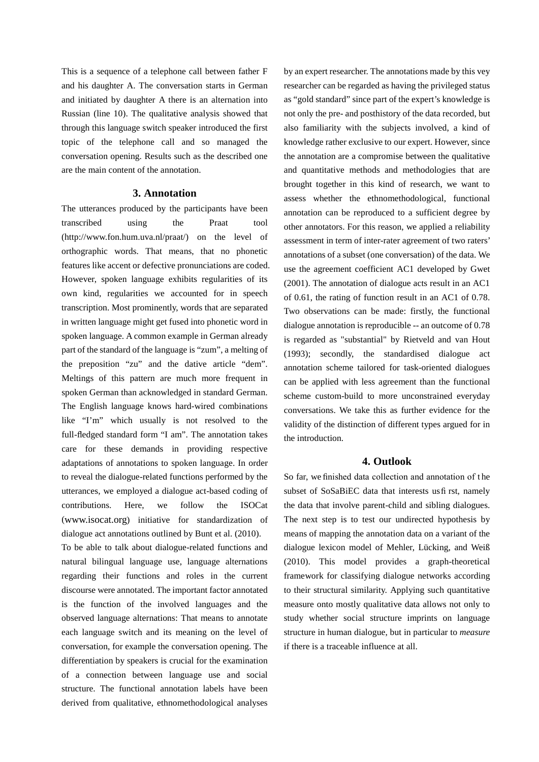This is a sequence of a telephone call between father F and his daughter A. The conversation starts in German and initiated by daughter A there is an alternation into Russian (line 10). The qualitative analysis showed that through this language switch speaker introduced the first topic of the telephone call and so managed the conversation opening. Results such as the described one are the main content of the annotation.

### **3. Annotation**

The utterances produced by the participants have been transcribed using the Praat tool (http://www.fon.hum.uva.nl/praat/) on the level of orthographic words. That means, that no phonetic features like accent or defective pronunciations are coded. However, spoken language exhibits regularities of its own kind, regularities we accounted for in speech transcription. Most prominently, words that are separated in written language might get fused into phonetic word in spoken language. A common example in German already part of the standard of the language is "zum", a melting of the preposition "zu" and the dative article "dem". Meltings of this pattern are much more frequent in spoken German than acknowledged in standard German. The English language knows hard-wired combinations like "I'm" which usually is not resolved to the full-fledged standard form "I am". The annotation takes care for these demands in providing respective adaptations of annotations to spoken language. In order to reveal the dialogue-related functions performed by the utterances, we employed a dialogue act-based coding of contributions. Here, we follow the ISOCat (www.isocat.org) initiative for standardization of dialogue act annotations outlined by Bunt et al. (2010).

To be able to talk about dialogue-related functions and natural bilingual language use, language alternations regarding their functions and roles in the current discourse were annotated. The important factor annotated is the function of the involved languages and the observed language alternations: That means to annotate each language switch and its meaning on the level of conversation, for example the conversation opening. The differentiation by speakers is crucial for the examination of a connection between language use and social structure. The functional annotation labels have been derived from qualitative, ethnomethodological analyses

by an expert researcher. The annotations made by this vey researcher can be regarded as having the privileged status as "gold standard" since part of the expert's knowledge is not only the pre- and posthistory of the data recorded, but also familiarity with the subjects involved, a kind of knowledge rather exclusive to our expert. However, since the annotation are a compromise between the qualitative and quantitative methods and methodologies that are brought together in this kind of research, we want to assess whether the ethnomethodological, functional annotation can be reproduced to a sufficient degree by other annotators. For this reason, we applied a reliability assessment in term of inter-rater agreement of two raters' annotations of a subset (one conversation) of the data. We use the agreement coefficient AC1 developed by Gwet (2001). The annotation of dialogue acts result in an AC1 of 0.61, the rating of function result in an AC1 of 0.78. Two observations can be made: firstly, the functional dialogue annotation is reproducible -- an outcome of 0.78 is regarded as "substantial" by Rietveld and van Hout (1993); secondly, the standardised dialogue act annotation scheme tailored for task-oriented dialogues can be applied with less agreement than the functional scheme custom-build to more unconstrained everyday conversations. We take this as further evidence for the validity of the distinction of different types argued for in the introduction.

## **4. Outlook**

So far, we finished data collection and annotation of the subset of SoSaBiEC data that interests us fi rst, namely the data that involve parent-child and sibling dialogues. The next step is to test our undirected hypothesis by means of mapping the annotation data on a variant of the dialogue lexicon model of Mehler, Lücking, and Weiß (2010). This model provides a graph-theoretical framework for classifying dialogue networks according to their structural similarity. Applying such quantitative measure onto mostly qualitative data allows not only to study whether social structure imprints on language structure in human dialogue, but in particular to *measure*  if there is a traceable influence at all.